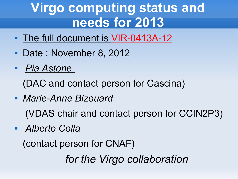### **Virgo computing status and needs for 2013**

- The full document is VIR-0413A-12
- Date: November 8, 2012
- *Pia Astone*

(DAC and contact person for Cascina)

*Marie-Anne Bizouard*

(VDAS chair and contact person for CCIN2P3)

*Alberto Colla* 

(contact person for CNAF)

*for the Virgo collaboration*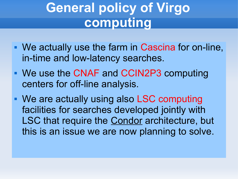## **General policy of Virgo computing**

- We actually use the farm in Cascina for on-line, in-time and low-latency searches.
- We use the CNAF and CCIN2P3 computing centers for off-line analysis.
- We are actually using also LSC computing facilities for searches developed jointly with LSC that require the **Condor** architecture, but this is an issue we are now planning to solve.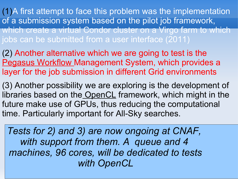(1)A first attempt to face this problem was the implementation of a submission system based on the pilot job framework, which create a virtual Condor cluster on a Virgo farm to which jobs can be submitted from a user interface (2011)

(2) Another alternative which we are going to test is the Pegasus Workflow Management System, which provides a layer for the job submission in different Grid environments

(3) Another possibility we are exploring is the development of libraries based on the OpenCL framework, which might in the future make use of GPUs, thus reducing the computational time. Particularly important for All-Sky searches.

*Tests for 2) and 3) are now ongoing at CNAF, with support from them. A queue and 4 machines, 96 cores, will be dedicated to tests with OpenCL*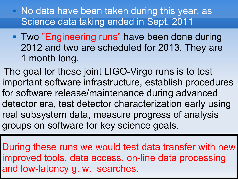- No data have been taken during this year, as Science data taking ended in Sept. 2011
- **Two "Engineering runs" have been done during** 2012 and two are scheduled for 2013. They are 1 month long.
- The goal for these joint LIGO-Virgo runs is to test important software infrastructure, establish procedures for software release/maintenance during advanced detector era, test detector characterization early using real subsystem data, measure progress of analysis groups on software for key science goals.
- During these runs we would test data transfer with new improved tools, data access, on-line data processing and low-latency g. w. searches.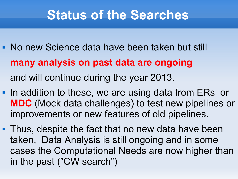#### **Status of the Searches**

- No new Science data have been taken but still **many analysis on past data are ongoing**  and will continue during the year 2013.
- In addition to these, we are using data from ERs or **MDC** (Mock data challenges) to test new pipelines or improvements or new features of old pipelines.
- **Thus, despite the fact that no new data have been** taken, Data Analysis is still ongoing and in some cases the Computational Needs are now higher than in the past ("CW search")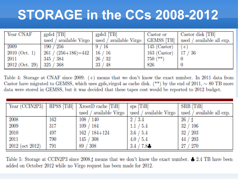### **STORAGE in the CCs 2008-2012**

| Year CNAF                                           | $grfs4$ [TB]                                                     | gpfs $3$ [TB]                     | Castor or                                               | Castor disk [TB]<br>used / available Virgo   used / available Virgo   GEMSS [TB]   used / available all exp. |
|-----------------------------------------------------|------------------------------------------------------------------|-----------------------------------|---------------------------------------------------------|--------------------------------------------------------------------------------------------------------------|
| 2009<br>$2010$ (Oct. 1)<br>2011<br>$2012$ (Oct. 29) | 190 / 256<br>$261 / (256 + 186) = 442$<br>345 / 384<br>325 / 368 | 9 / 16<br>16/16<br>26/32<br>33/48 | $145$ (Castor)<br>$163$ (Castor)<br>$750$ $(**)$<br>826 | $(+)$<br>17/36                                                                                               |

Table 4: Storage at CNAF since 2009.  $(+)$  means that we don't know the exact number. In 2011 data from Castor have migrated to GEMSS, which uses gpfs virgo4 as cache disk. (\*\*) by the end of 2011,  $\sim 80$  TB more data were stored in GEMSS, but it was decided that these tapes cost would be reported to 2012 budget.

|                       |     | Year (CCIN2P3)   HPSS [TiB]   XrootD cache [TiB] | sps [TiB]              | SRB [TiB]                 |
|-----------------------|-----|--------------------------------------------------|------------------------|---------------------------|
|                       |     | used / available Virgo                           | used / available Virgo | used / available all exp. |
| 2008                  | 162 | 108 / 140                                        | 2/3.4                  | 26/1                      |
| 2009                  | 317 | 109 / 184                                        | 1.1 / 5.4              | 32 / 106                  |
| 2010                  | 497 | $162 / 184 + 124$                                | 3.6 / 5.4              | 32 / 203                  |
| 2011                  | 790 | 145 / 308                                        | 4.0 / 5.4              | 44 / 203                  |
| $\pm 2012$ (oct 2012) | 791 | 89 / 308                                         | 3.4 / 7.8              | 27 / 270                  |

Table 5: Storage at CCIN2P3 since 2008. means that we don't know the exact number.  $\clubsuit$  2.4 TB have been added on October 2012 while no Virgo request has been made for 2012.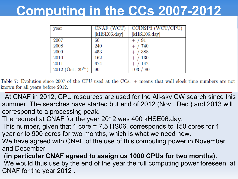#### **Computing in the CCs 2007-2012**

| year                          | CNAF (WCT)   | CCIN2P3 (WCT/CPU) |
|-------------------------------|--------------|-------------------|
|                               | [kHSE06.day] | [kHSE06.day]      |
| 2007                          | 60           | - 91              |
| 2008                          | 240          | 740               |
| 2009                          | 453          | $^{\prime}~388$   |
| 2010                          | 162          | $^{\prime}~130$   |
| 2011                          | 674          | 142               |
| 2012 (Oct. 29 <sup>th</sup> ) | 90           | -80<br>$103\,$    |

Table 7: Evolution since 2007 of the CPU used at the CCs. + means that wall clock time numbers are not known for all years before 2012.

- At CNAF in 2012, CPU resources are used for the All-sky CW search since this summer. The searches have started but end of 2012 (Nov., Dec.) and 2013 will correspond to a processing peak.
- The request at CNAF for the year 2012 was 400 kHSE06.day.
- This number, given that 1 core = 7.5 HS06, corresponds to 150 cores for 1 year or to 900 cores for two months, which is what we need now.
- We have agreed with CNAF of the use of this computing power in November and December
- (**in particular CNAF agreed to assign us 1000 CPUs for two months).** We would thus use by the end of the year the full computing power foreseen at CNAF for the year 2012 .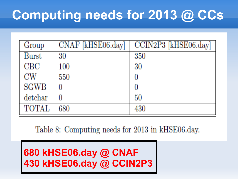# **Computing needs for 2013 @ CCs**

| Group        | CNAF [kHSE06.day] | CCIN2P3 [kHSE06.day] |
|--------------|-------------------|----------------------|
| <b>Burst</b> | 30                | 350                  |
| CBC          | 100               | 30                   |
| CW           | 550               |                      |
| <b>SGWB</b>  |                   |                      |
| detchar      |                   | 50                   |
| <b>TOTAL</b> | 680               | 430                  |

Table 8: Computing needs for 2013 in kHSE06.day.

**680 kHSE06.day @ CNAF 430 kHSE06.day @ CCIN2P3**